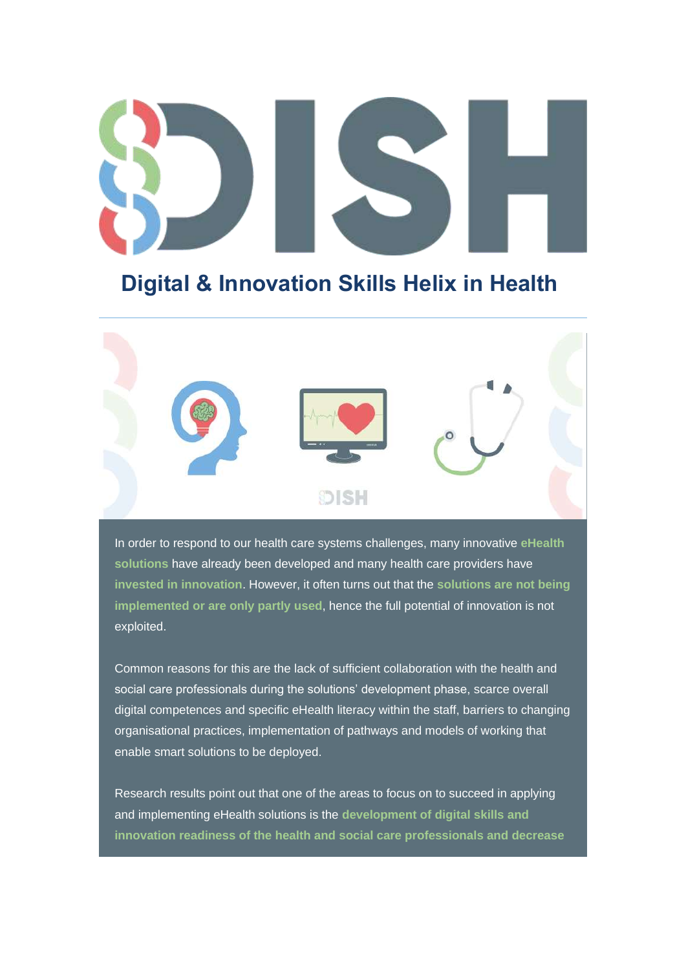# **Digital & Innovation Skills Helix in Health**



In order to respond to our health care systems challenges, many innovative **eHealth solutions** have already been developed and many health care providers have **invested in innovation**. However, it often turns out that the **solutions are not being implemented or are only partly used**, hence the full potential of innovation is not exploited.

Common reasons for this are the lack of sufficient collaboration with the health and social care professionals during the solutions' development phase, scarce overall digital competences and specific eHealth literacy within the staff, barriers to changing organisational practices, implementation of pathways and models of working that enable smart solutions to be deployed.

Research results point out that one of the areas to focus on to succeed in applying and implementing eHealth solutions is the **development of digital skills and innovation readiness of the health and social care professionals and decrease**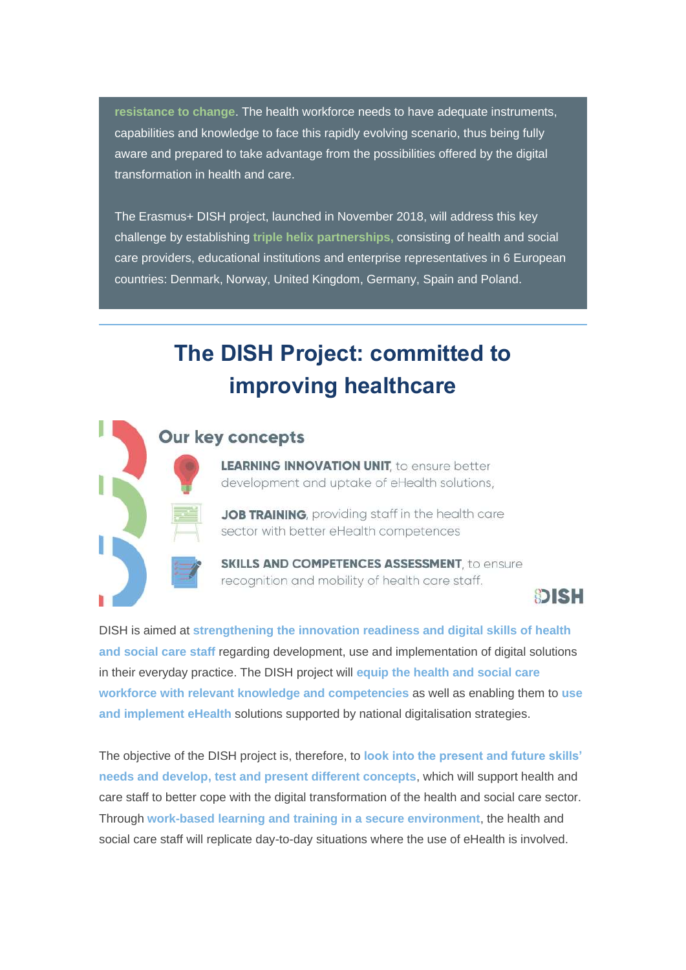**resistance to change**. The health workforce needs to have adequate instruments, capabilities and knowledge to face this rapidly evolving scenario, thus being fully aware and prepared to take advantage from the possibilities offered by the digital transformation in health and care.

The Erasmus+ DISH project, launched in November 2018, will address this key challenge by establishing **triple helix partnerships,** consisting of health and social care providers, educational institutions and enterprise representatives in 6 European countries: Denmark, Norway, United Kingdom, Germany, Spain and Poland.

# **The DISH Project: committed to improving healthcare**



### **Our key concepts**

**LEARNING INNOVATION UNIT.** to ensure better development and uptake of eHealth solutions,

JOB TRAINING, providing staff in the health care sector with better eHealth competences

**SKILLS AND COMPETENCES ASSESSMENT** to ensure recognition and mobility of health care staff.



DISH is aimed at **strengthening the innovation readiness and digital skills of health and social care staff** regarding development, use and implementation of digital solutions in their everyday practice. The DISH project will **equip the health and social care workforce with relevant knowledge and competencies** as well as enabling them to **use and implement eHealth** solutions supported by national digitalisation strategies.

The objective of the DISH project is, therefore, to **look into the present and future skills' needs and develop, test and present different concepts**, which will support health and care staff to better cope with the digital transformation of the health and social care sector. Through **work-based learning and training in a secure environment**, the health and social care staff will replicate day-to-day situations where the use of eHealth is involved.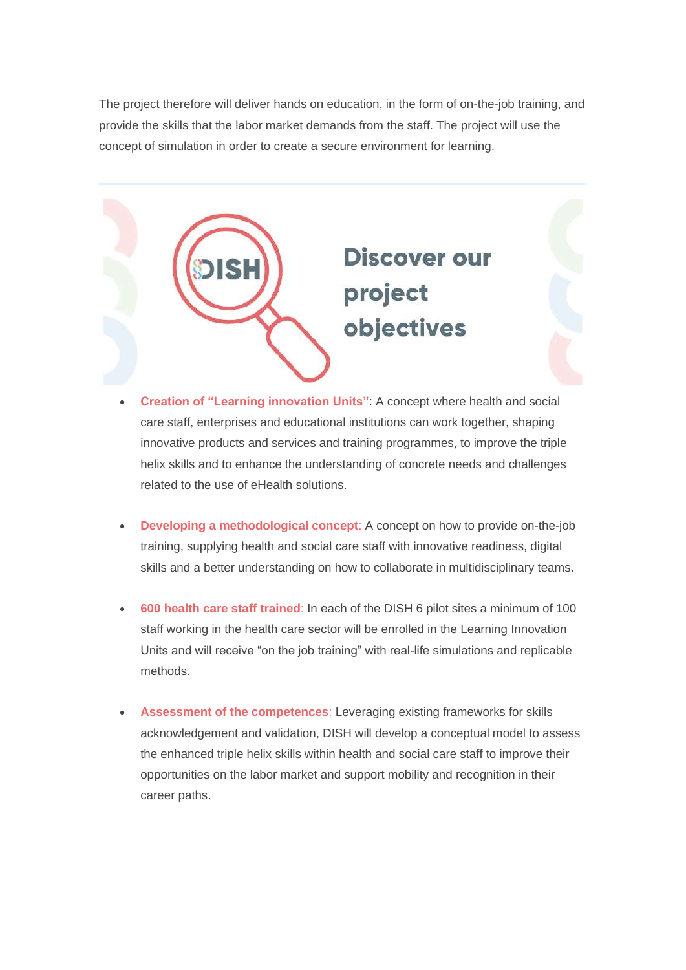The project therefore will deliver hands on education, in the form of on-the-job training, and provide the skills that the labor market demands from the staff. The project will use the concept of simulation in order to create a secure environment for learning.



- **Creation of "Learning innovation Units"**: A concept where health and social care staff, enterprises and educational institutions can work together, shaping innovative products and services and training programmes, to improve the triple helix skills and to enhance the understanding of concrete needs and challenges related to the use of eHealth solutions.
- **Developing a methodological concept**: A concept on how to provide on-the-job training, supplying health and social care staff with innovative readiness, digital skills and a better understanding on how to collaborate in multidisciplinary teams.
- **600 health care staff trained**: In each of the DISH 6 pilot sites a minimum of 100 staff working in the health care sector will be enrolled in the Learning Innovation Units and will receive "on the job training" with real-life simulations and replicable methods.
- **Assessment of the competences**: Leveraging existing frameworks for skills acknowledgement and validation, DISH will develop a conceptual model to assess the enhanced triple helix skills within health and social care staff to improve their opportunities on the labor market and support mobility and recognition in their career paths.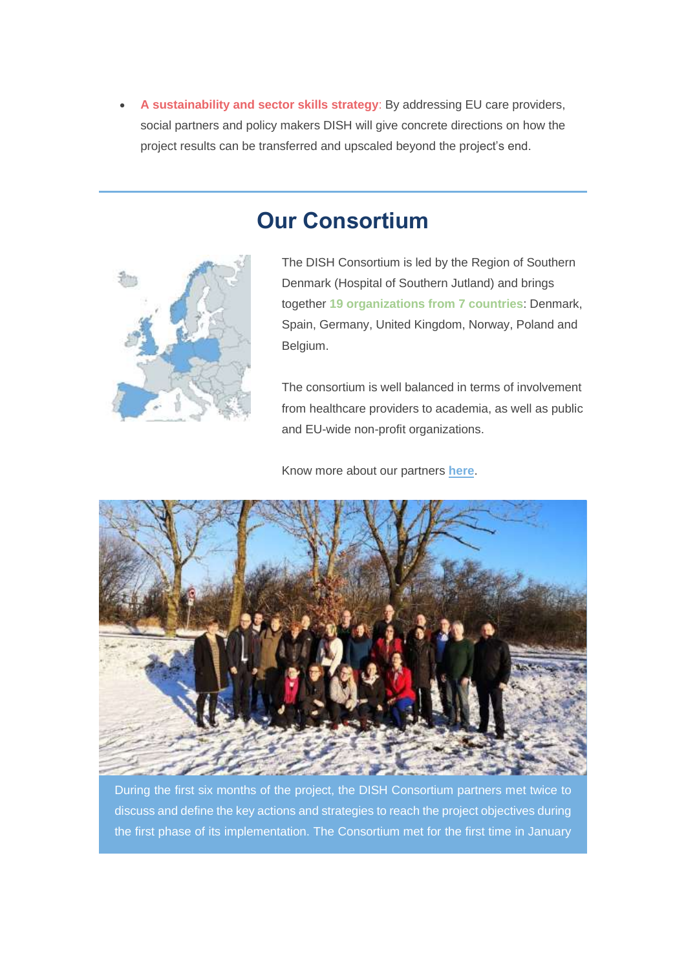• **A sustainability and sector skills strategy**: By addressing EU care providers, social partners and policy makers DISH will give concrete directions on how the project results can be transferred and upscaled beyond the project's end.



**Our Consortium**

The DISH Consortium is led by the Region of Southern Denmark (Hospital of Southern Jutland) and brings together **19 organizations from 7 countries**: Denmark, Spain, Germany, United Kingdom, Norway, Poland and Belgium.

The consortium is well balanced in terms of involvement from healthcare providers to academia, as well as public and EU-wide non-profit organizations.

Know more about our partners **[he](https://gmail.us20.list-manage.com/track/click?u=f7d6f5f73a8a978a34b5819c7&id=6a76d605b5&e=8fed51c2fa)[r](https://gmail.us20.list-manage.com/track/click?u=f7d6f5f73a8a978a34b5819c7&id=7347dd6496&e=8fed51c2fa)[e](https://gmail.us20.list-manage.com/track/click?u=f7d6f5f73a8a978a34b5819c7&id=2c7fb20c84&e=8fed51c2fa)**.



During the first six months of the project, the DISH Consortium partners met twice to discuss and define the key actions and strategies to reach the project objectives during the first phase of its implementation. The Consortium met for the first time in January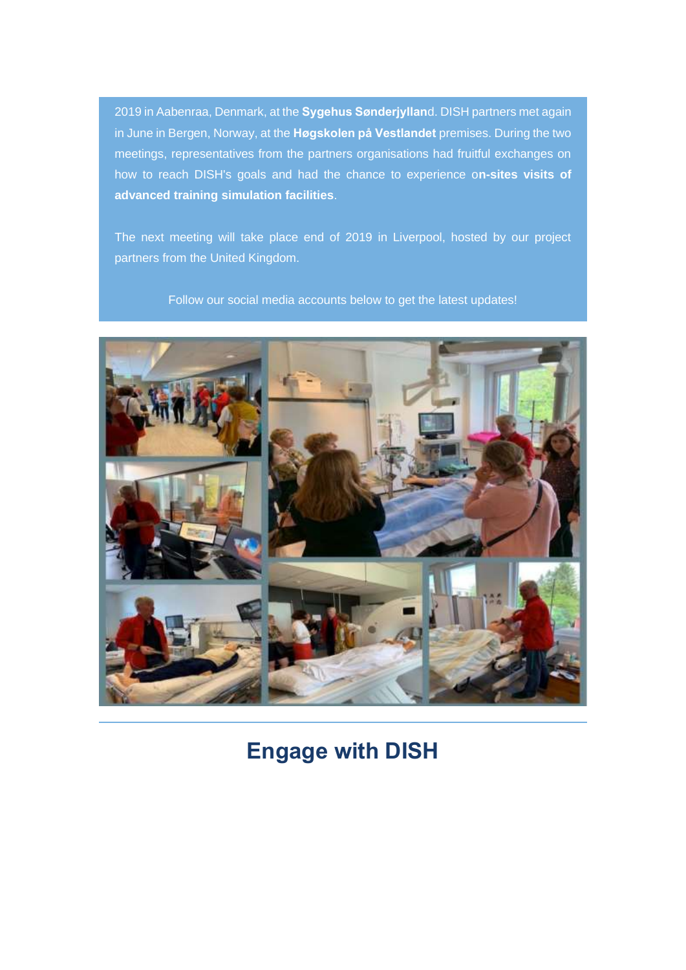2019 in Aabenraa, Denmark, at the **Sygehus Sønderjyllan**d. DISH partners met again in June in Bergen, Norway, at the **Høgskolen på Vestlandet** premises. During the two meetings, representatives from the partners organisations had fruitful exchanges on how to reach DISH's goals and had the chance to experience o**n-sites visits of advanced training simulation facilities**.

The next meeting will take place end of 2019 in Liverpool, hosted by our project partners from the United Kingdom.

Follow our social media accounts below to get the latest updates!



**Engage with DISH**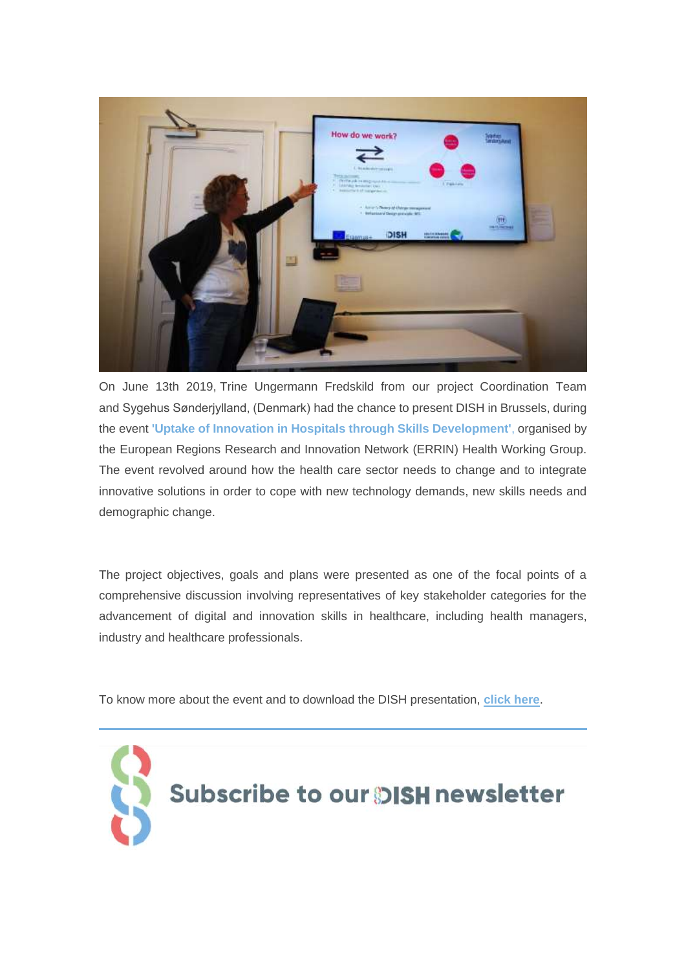

On June 13th 2019, Trine Ungermann Fredskild from our project Coordination Team and Sygehus Sønderjylland, (Denmark) had the chance to present DISH in Brussels, during the event **'Uptake of Innovation in Hospitals through Skills Development'**, organised by the European Regions Research and Innovation Network (ERRIN) Health Working Group. The event revolved around how the health care sector needs to change and to integrate innovative solutions in order to cope with new technology demands, new skills needs and demographic change.

The project objectives, goals and plans were presented as one of the focal points of a comprehensive discussion involving representatives of key stakeholder categories for the advancement of digital and innovation skills in healthcare, including health managers, industry and healthcare professionals.

To know more about the event and to download the DISH presentation, **[click here](https://gmail.us20.list-manage.com/track/click?u=f7d6f5f73a8a978a34b5819c7&id=53afd131d7&e=8fed51c2fa)**.